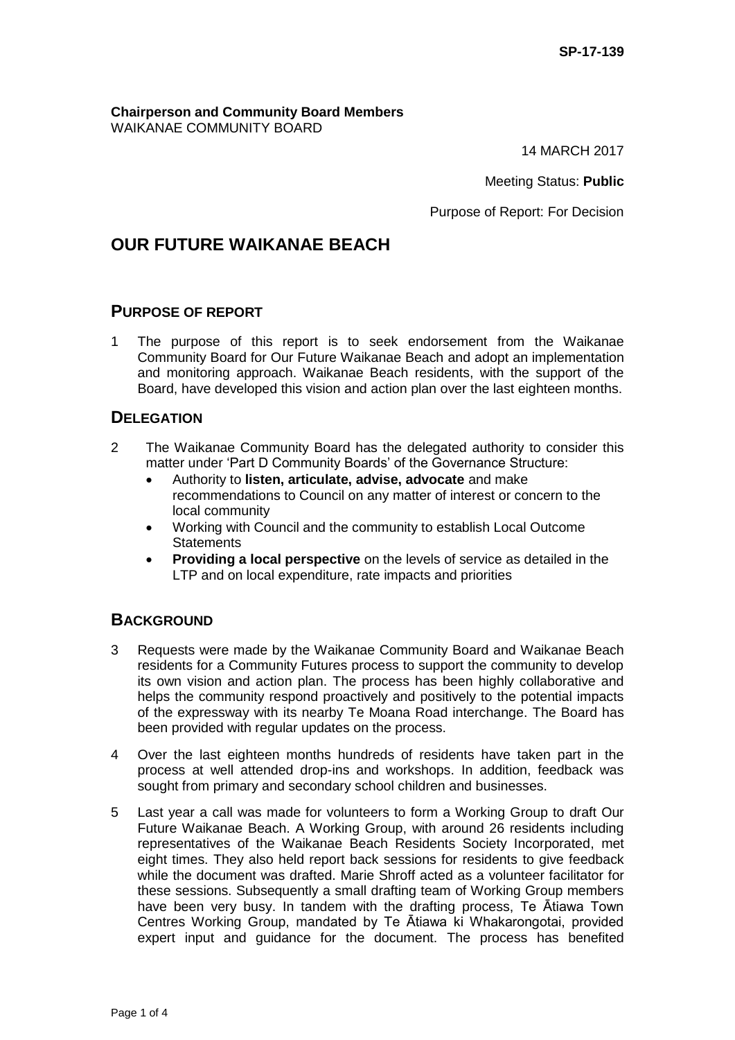**Chairperson and Community Board Members** WAIKANAE COMMUNITY BOARD

14 MARCH 2017

Meeting Status: **Public**

Purpose of Report: For Decision

# **OUR FUTURE WAIKANAE BEACH**

### **PURPOSE OF REPORT**

1 The purpose of this report is to seek endorsement from the Waikanae Community Board for Our Future Waikanae Beach and adopt an implementation and monitoring approach. Waikanae Beach residents, with the support of the Board, have developed this vision and action plan over the last eighteen months.

### **DELEGATION**

- 2 The Waikanae Community Board has the delegated authority to consider this matter under 'Part D Community Boards' of the Governance Structure:
	- Authority to **listen, articulate, advise, advocate** and make recommendations to Council on any matter of interest or concern to the local community
	- Working with Council and the community to establish Local Outcome **Statements**
	- **Providing a local perspective** on the levels of service as detailed in the LTP and on local expenditure, rate impacts and priorities

## **BACKGROUND**

- 3 Requests were made by the Waikanae Community Board and Waikanae Beach residents for a Community Futures process to support the community to develop its own vision and action plan. The process has been highly collaborative and helps the community respond proactively and positively to the potential impacts of the expressway with its nearby Te Moana Road interchange. The Board has been provided with regular updates on the process.
- 4 Over the last eighteen months hundreds of residents have taken part in the process at well attended drop-ins and workshops. In addition, feedback was sought from primary and secondary school children and businesses.
- 5 Last year a call was made for volunteers to form a Working Group to draft Our Future Waikanae Beach. A Working Group, with around 26 residents including representatives of the Waikanae Beach Residents Society Incorporated, met eight times. They also held report back sessions for residents to give feedback while the document was drafted. Marie Shroff acted as a volunteer facilitator for these sessions. Subsequently a small drafting team of Working Group members have been very busy. In tandem with the drafting process, Te Ātiawa Town Centres Working Group, mandated by Te Ātiawa ki Whakarongotai, provided expert input and guidance for the document. The process has benefited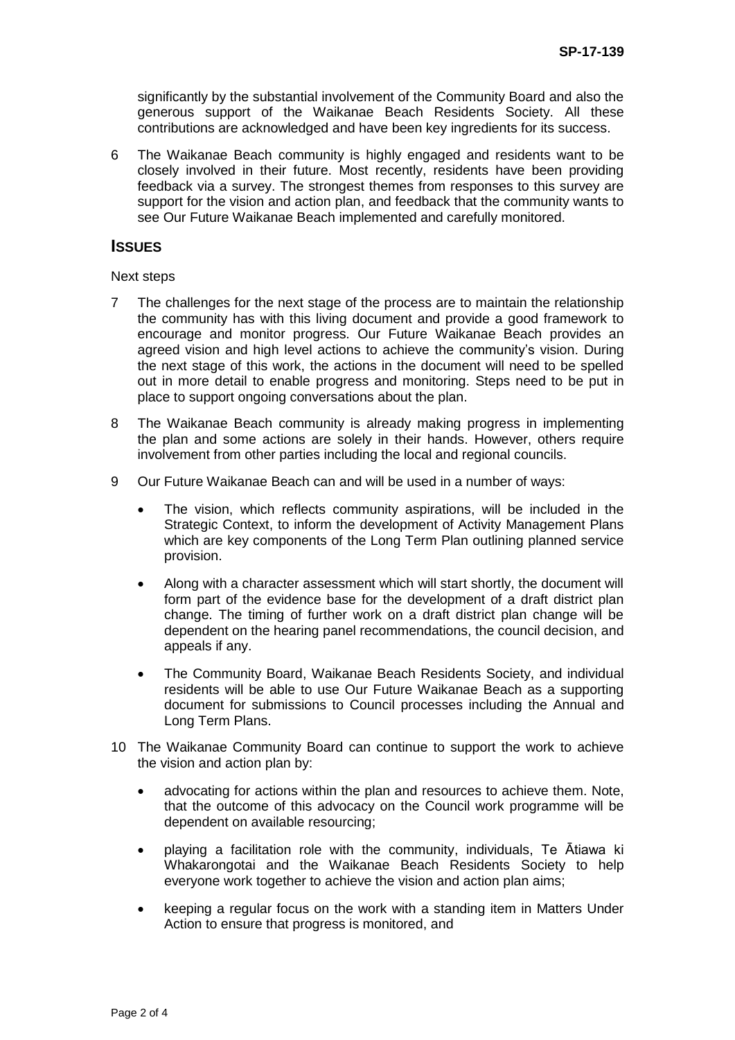significantly by the substantial involvement of the Community Board and also the generous support of the Waikanae Beach Residents Society. All these contributions are acknowledged and have been key ingredients for its success.

6 The Waikanae Beach community is highly engaged and residents want to be closely involved in their future. Most recently, residents have been providing feedback via a survey. The strongest themes from responses to this survey are support for the vision and action plan, and feedback that the community wants to see Our Future Waikanae Beach implemented and carefully monitored.

#### **ISSUES**

#### Next steps

- 7 The challenges for the next stage of the process are to maintain the relationship the community has with this living document and provide a good framework to encourage and monitor progress. Our Future Waikanae Beach provides an agreed vision and high level actions to achieve the community's vision. During the next stage of this work, the actions in the document will need to be spelled out in more detail to enable progress and monitoring. Steps need to be put in place to support ongoing conversations about the plan.
- 8 The Waikanae Beach community is already making progress in implementing the plan and some actions are solely in their hands. However, others require involvement from other parties including the local and regional councils.
- 9 Our Future Waikanae Beach can and will be used in a number of ways:
	- The vision, which reflects community aspirations, will be included in the Strategic Context, to inform the development of Activity Management Plans which are key components of the Long Term Plan outlining planned service provision.
	- Along with a character assessment which will start shortly, the document will form part of the evidence base for the development of a draft district plan change. The timing of further work on a draft district plan change will be dependent on the hearing panel recommendations, the council decision, and appeals if any.
	- The Community Board, Waikanae Beach Residents Society, and individual residents will be able to use Our Future Waikanae Beach as a supporting document for submissions to Council processes including the Annual and Long Term Plans.
- 10 The Waikanae Community Board can continue to support the work to achieve the vision and action plan by:
	- advocating for actions within the plan and resources to achieve them. Note, that the outcome of this advocacy on the Council work programme will be dependent on available resourcing;
	- playing a facilitation role with the community, individuals, Te Ātiawa ki Whakarongotai and the Waikanae Beach Residents Society to help everyone work together to achieve the vision and action plan aims;
	- keeping a regular focus on the work with a standing item in Matters Under Action to ensure that progress is monitored, and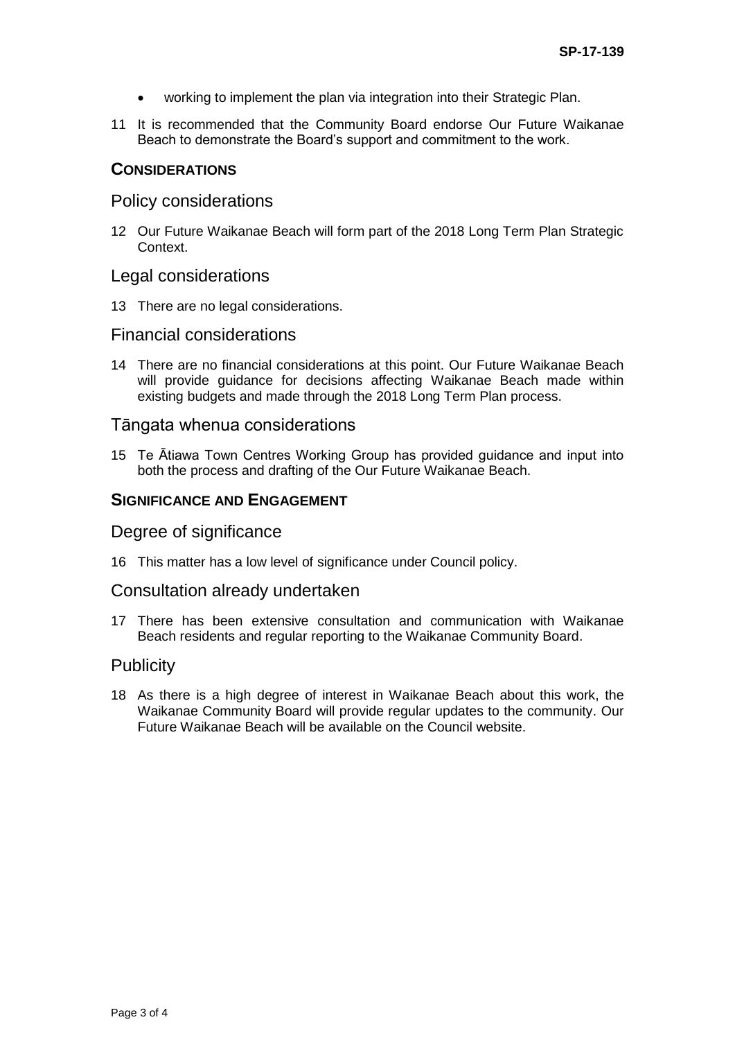- working to implement the plan via integration into their Strategic Plan.
- 11 It is recommended that the Community Board endorse Our Future Waikanae Beach to demonstrate the Board's support and commitment to the work.

### **CONSIDERATIONS**

### Policy considerations

12 Our Future Waikanae Beach will form part of the 2018 Long Term Plan Strategic Context.

#### Legal considerations

13 There are no legal considerations.

### Financial considerations

14 There are no financial considerations at this point. Our Future Waikanae Beach will provide guidance for decisions affecting Waikanae Beach made within existing budgets and made through the 2018 Long Term Plan process.

### Tāngata whenua considerations

15 Te Ātiawa Town Centres Working Group has provided guidance and input into both the process and drafting of the Our Future Waikanae Beach.

#### **SIGNIFICANCE AND ENGAGEMENT**

#### Degree of significance

16 This matter has a low level of significance under Council policy.

### Consultation already undertaken

17 There has been extensive consultation and communication with Waikanae Beach residents and regular reporting to the Waikanae Community Board.

### **Publicity**

18 As there is a high degree of interest in Waikanae Beach about this work, the Waikanae Community Board will provide regular updates to the community. Our Future Waikanae Beach will be available on the Council website.